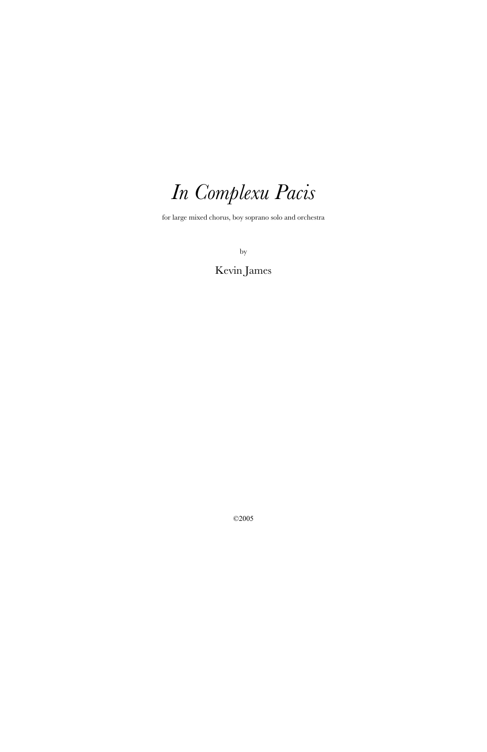# *In Complexu Pacis*

for large mixed chorus, boy soprano solo and orchestra

by

Kevin James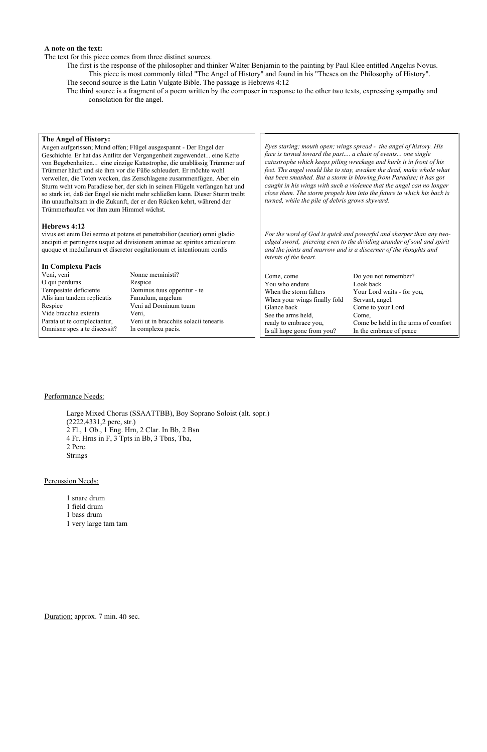## A note on the text:

The text for this piece comes from three distinct sources.

- The first is the response of the philosopher and thinker Walter Benjamin to the painting by Paul Klee entitled Angelus Novus. This piece is most commonly titled "The Angel of History" and found in his "Theses on the Philosophy of History".
	- The second source is the Latin Vulgate Bible. The passage is Hebrews 4:12
	- The third source is a fragment of a poem written by the composer in response to the other two texts, expressing sympathy and consolation for the angel.

### Performance Needs:

Large Mixed Chorus (SSAATTBB), Boy Soprano Soloist (alt. sopr.) (2222,4331,2 perc, str.) 2 Fl., 1 Ob., 1 Eng. Hrn, 2 Clar. In Bb, 2 Bsn 4 Fr. Hrns in F, 3 Tpts in Bb, 3 Tbns, Tba, 2 Perc. Strings

### Percussion Needs:

1 snare drum 1 field drum 1 bass drum 1 very large tam tam

Duration: approx. 7 min. 40 sec.

#### The Angel of History:

Augen aufgerissen; Mund offen; Flügel ausgespannt - Der Engel der Geschichte. Er hat das Antlitz der Vergangenheit zugewendet... eine Kette von Begebenheiten... eine einzige Katastrophe, die unablässig Trümmer auf Trümmer häuft und sie ihm vor die Füße schleudert. Er möchte wohl verweilen, die Toten wecken, das Zerschlagene zusammenfügen. Aber ein Sturm weht vom Paradiese her, der sich in seinen Flügeln verfangen hat und so stark ist, daß der Engel sie nicht mehr schließen kann. Dieser Sturm treibt ihn unaufhaltsam in die Zukunft, der er den Rücken kehrt, während der Trümmerhaufen vor ihm zum Himmel wächst.

### Hebrews 4:12

vivus est enim Dei sermo et potens et penetrabilior (acutior) omni gladio ancipiti et pertingens usque ad divisionem animae ac spiritus articulorum quoque et medullarum et discretor cogitationum et intentionum cordis

### In Complexu Pacis

| Veni, veni                   | Nonne meministi?                      |
|------------------------------|---------------------------------------|
| O qui perduras               | Respice                               |
| Tempestate deficiente        | Dominus tuus opperitur - te           |
| Alis iam tandem replicatis   | Famulum, angelum                      |
| Respice                      | Veni ad Dominum tuum                  |
| Vide bracchia extenta        | Veni,                                 |
| Parata ut te complectantur,  | Veni ut in bracchiis solacii tenearis |
| Omnisne spes a te discessit? | In complexu pacis.                    |
|                              |                                       |

*Eyes staring; mouth open; wings spread - the angel of history. His face is turned toward the past.... a chain of events... one single catastrophe which keeps piling wreckage and hurls it in front of his feet. The angel would like to stay, awaken the dead, make whole what has been smashed. But a storm is blowing from Paradise; it has got caught in his wings with such a violence that the angel can no longer close them. The storm propels him into the future to which his back is turned, while the pile of debris grows skyward*.

*For the word of God is quick and powerful and sharper than any twoedged sword, piercing even to the dividing asunder of soul and spirit and the joints and marrow and is a discerner of the thoughts and intents of the heart.*

| Come, come                   | Do you not remember?                |
|------------------------------|-------------------------------------|
| You who endure               | Look back                           |
| When the storm falters       | Your Lord waits - for you,          |
| When your wings finally fold | Servant, angel.                     |
| Glance back                  | Come to your Lord                   |
| See the arms held,           | Come,                               |
| ready to embrace you,        | Come be held in the arms of comfort |
| Is all hope gone from you?   | In the embrace of peace             |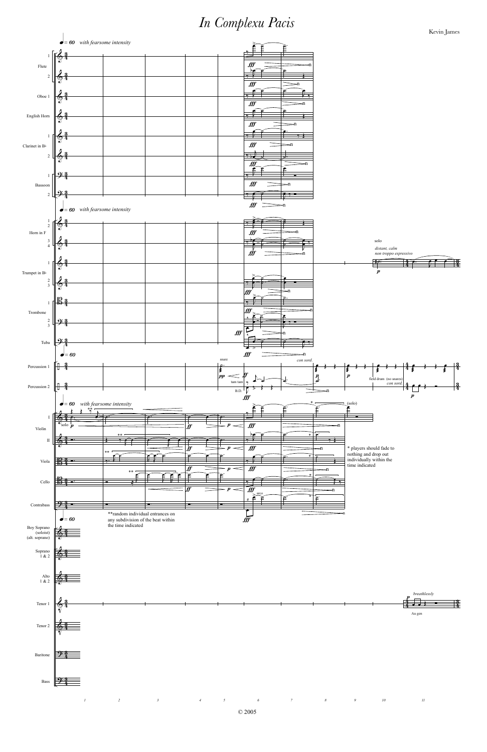

 $\odot$  2005



*In Complexu Pacis*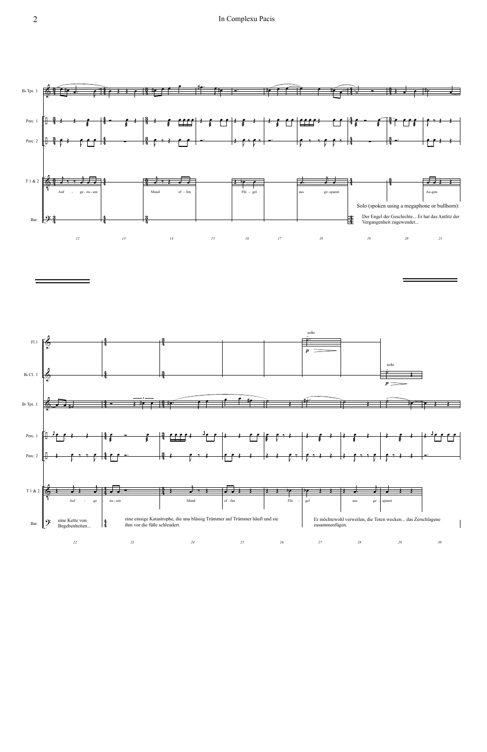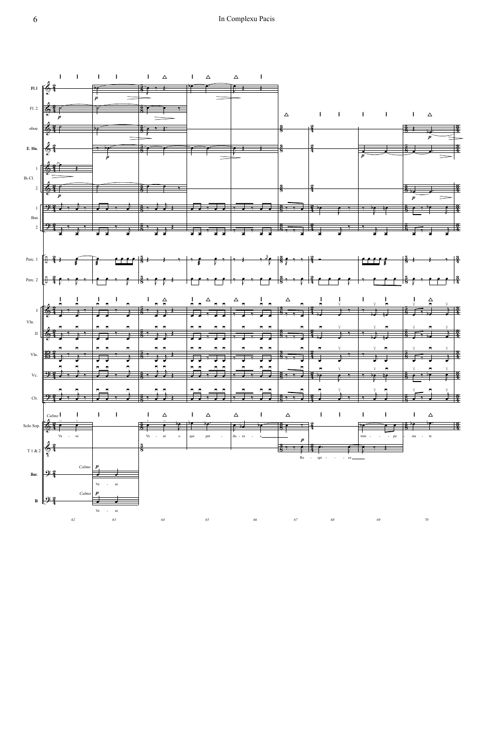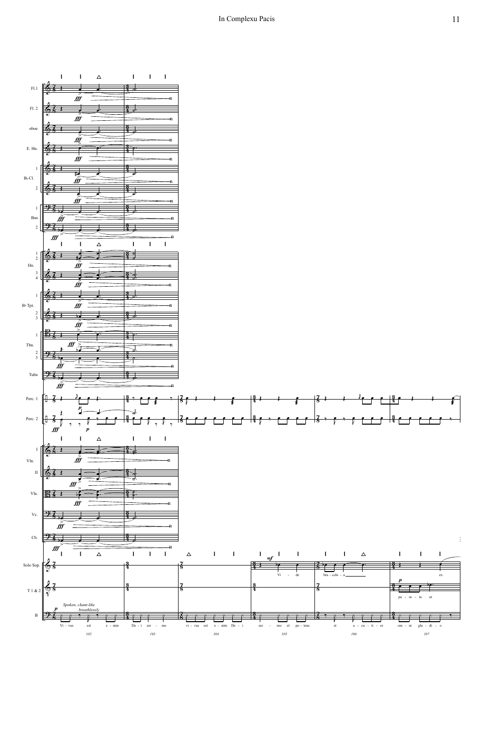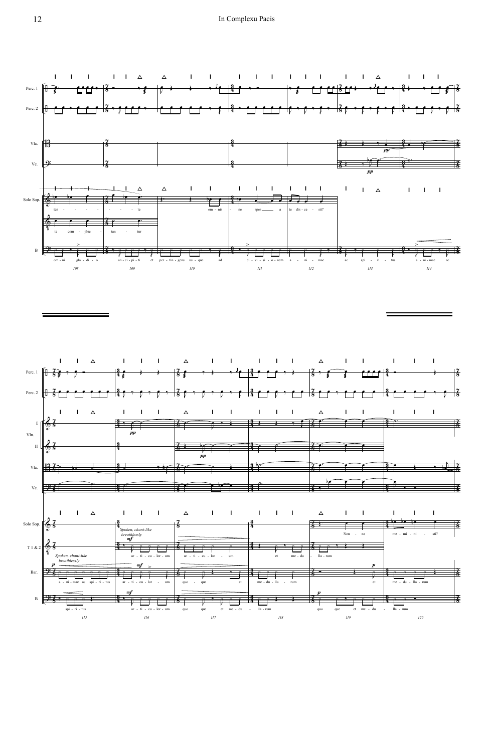

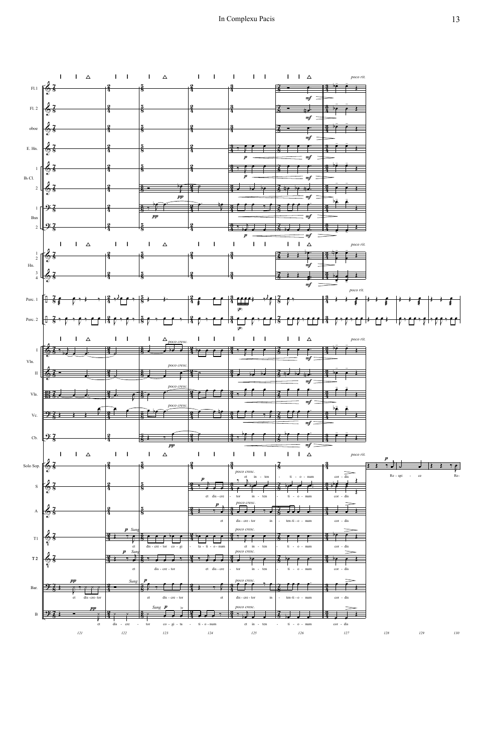

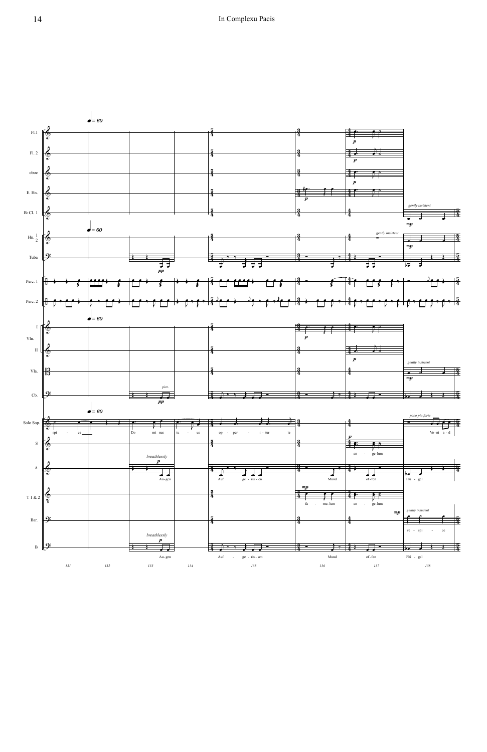

|  |  | Au-gen Auf - ge - ris - sen |  |     |                   | Mund of-fen Flü - gel |  |
|--|--|-----------------------------|--|-----|-------------------|-----------------------|--|
|  |  | $131$ $132$ $133$ $134$     |  | 135 | $136$ $137$ $138$ |                       |  |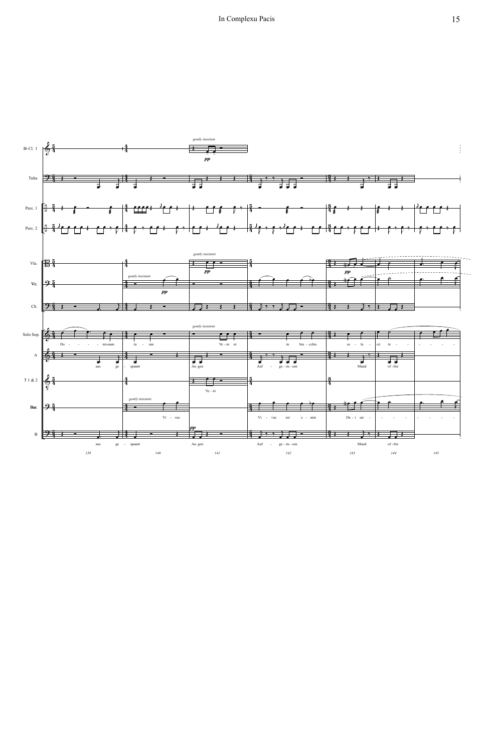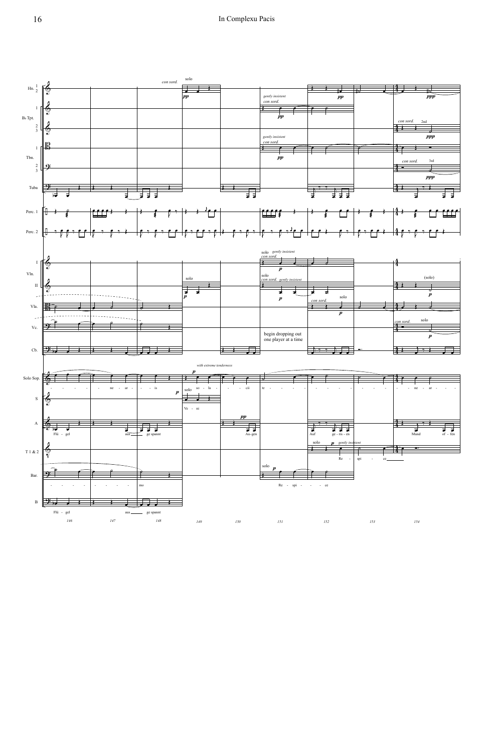